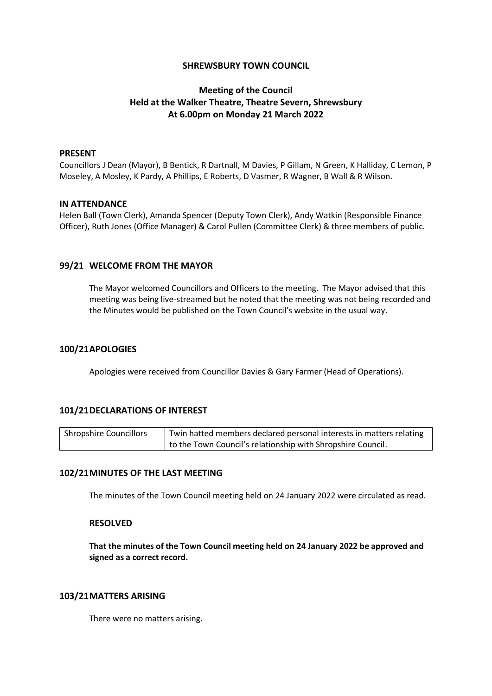## **SHREWSBURY TOWN COUNCIL**

# **Meeting of the Council Held at the Walker Theatre, Theatre Severn, Shrewsbury At 6.00pm on Monday 21 March 2022**

### **PRESENT**

Councillors J Dean (Mayor), B Bentick, R Dartnall, M Davies, P Gillam, N Green, K Halliday, C Lemon, P Moseley, A Mosley, K Pardy, A Phillips, E Roberts, D Vasmer, R Wagner, B Wall & R Wilson.

### **IN ATTENDANCE**

Helen Ball (Town Clerk), Amanda Spencer (Deputy Town Clerk), Andy Watkin (Responsible Finance Officer), Ruth Jones (Office Manager) & Carol Pullen (Committee Clerk) & three members of public.

### **99/21 WELCOME FROM THE MAYOR**

The Mayor welcomed Councillors and Officers to the meeting. The Mayor advised that this meeting was being live-streamed but he noted that the meeting was not being recorded and the Minutes would be published on the Town Council's website in the usual way.

## **100/21APOLOGIES**

Apologies were received from Councillor Davies & Gary Farmer (Head of Operations).

## **101/21DECLARATIONS OF INTEREST**

| <b>Shropshire Councillors</b> | Twin hatted members declared personal interests in matters relating |
|-------------------------------|---------------------------------------------------------------------|
|                               | to the Town Council's relationship with Shropshire Council.         |

## **102/21MINUTES OF THE LAST MEETING**

The minutes of the Town Council meeting held on 24 January 2022 were circulated as read.

### **RESOLVED**

**That the minutes of the Town Council meeting held on 24 January 2022 be approved and signed as a correct record.**

### **103/21MATTERS ARISING**

There were no matters arising.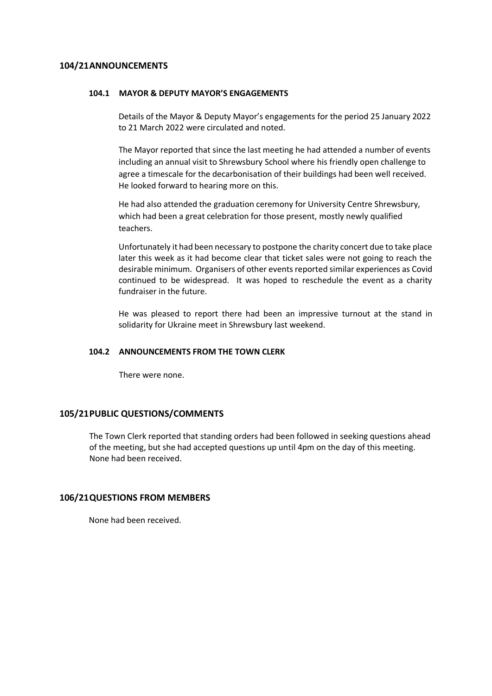## **104/21ANNOUNCEMENTS**

#### **104.1 MAYOR & DEPUTY MAYOR'S ENGAGEMENTS**

Details of the Mayor & Deputy Mayor's engagements for the period 25 January 2022 to 21 March 2022 were circulated and noted.

The Mayor reported that since the last meeting he had attended a number of events including an annual visit to Shrewsbury School where his friendly open challenge to agree a timescale for the decarbonisation of their buildings had been well received. He looked forward to hearing more on this.

He had also attended the graduation ceremony for University Centre Shrewsbury, which had been a great celebration for those present, mostly newly qualified teachers.

Unfortunately it had been necessary to postpone the charity concert due to take place later this week as it had become clear that ticket sales were not going to reach the desirable minimum. Organisers of other events reported similar experiences as Covid continued to be widespread. It was hoped to reschedule the event as a charity fundraiser in the future.

He was pleased to report there had been an impressive turnout at the stand in solidarity for Ukraine meet in Shrewsbury last weekend.

### **104.2 ANNOUNCEMENTS FROM THE TOWN CLERK**

There were none.

## **105/21PUBLIC QUESTIONS/COMMENTS**

The Town Clerk reported that standing orders had been followed in seeking questions ahead of the meeting, but she had accepted questions up until 4pm on the day of this meeting. None had been received.

### **106/21QUESTIONS FROM MEMBERS**

None had been received.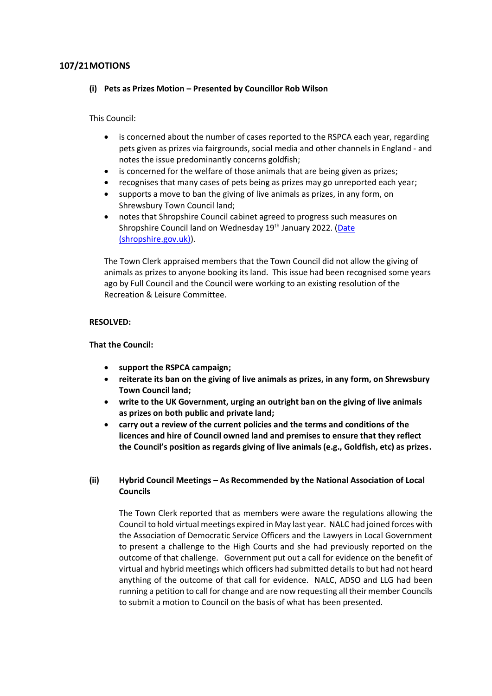## **107/21MOTIONS**

### **(i) Pets as Prizes Motion – Presented by Councillor Rob Wilson**

This Council:

- is concerned about the number of cases reported to the RSPCA each year, regarding pets given as prizes via fairgrounds, social media and other channels in England - and notes the issue predominantly concerns goldfish;
- is concerned for the welfare of those animals that are being given as prizes;
- recognises that many cases of pets being as prizes may go unreported each year;
- supports a move to ban the giving of live animals as prizes, in any form, on Shrewsbury Town Council land;
- notes that Shropshire Council cabinet agreed to progress such measures on Shropshire Council land on Wednesday 19<sup>th</sup> January 2022. (Date [\(shropshire.gov.uk\)\)](https://shropshire.gov.uk/committee-services/documents/s29308/Pets%20as%20Prizes-23112021%200917.pdf).

The Town Clerk appraised members that the Town Council did not allow the giving of animals as prizes to anyone booking its land. This issue had been recognised some years ago by Full Council and the Council were working to an existing resolution of the Recreation & Leisure Committee.

### **RESOLVED:**

### **That the Council:**

- **support the RSPCA campaign;**
- **reiterate its ban on the giving of live animals as prizes, in any form, on Shrewsbury Town Council land;**
- **write to the UK Government, urging an outright ban on the giving of live animals as prizes on both public and private land;**
- **carry out a review of the current policies and the terms and conditions of the licences and hire of Council owned land and premises to ensure that they reflect the Council's position as regards giving of live animals (e.g., Goldfish, etc) as prizes.**

## **(ii) Hybrid Council Meetings – As Recommended by the National Association of Local Councils**

The Town Clerk reported that as members were aware the regulations allowing the Council to hold virtual meetings expired in May last year. NALC had joined forces with the Association of Democratic Service Officers and the Lawyers in Local Government to present a challenge to the High Courts and she had previously reported on the outcome of that challenge. Government put out a call for evidence on the benefit of virtual and hybrid meetings which officers had submitted details to but had not heard anything of the outcome of that call for evidence. NALC, ADSO and LLG had been running a petition to call for change and are now requesting all their member Councils to submit a motion to Council on the basis of what has been presented.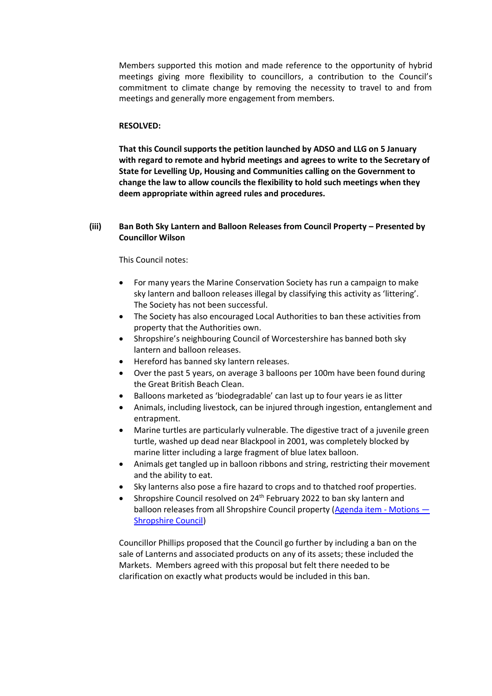Members supported this motion and made reference to the opportunity of hybrid meetings giving more flexibility to councillors, a contribution to the Council's commitment to climate change by removing the necessity to travel to and from meetings and generally more engagement from members.

### **RESOLVED:**

**That this Council supports the petition launched by ADSO and LLG on 5 January with regard to remote and hybrid meetings and agrees to write to the Secretary of State for Levelling Up, Housing and Communities calling on the Government to change the law to allow councils the flexibility to hold such meetings when they deem appropriate within agreed rules and procedures.**

## **(iii) Ban Both Sky Lantern and Balloon Releases from Council Property – Presented by Councillor Wilson**

#### This Council notes:

- For many years the Marine Conservation Society has run a campaign to make sky lantern and balloon releases illegal by classifying this activity as 'littering'. The Society has not been successful.
- The Society has also encouraged Local Authorities to ban these activities from property that the Authorities own.
- Shropshire's neighbouring Council of Worcestershire has banned both sky lantern and balloon releases.
- Hereford has banned sky lantern releases.
- Over the past 5 years, on average 3 balloons per 100m have been found during the Great British Beach Clean.
- Balloons marketed as 'biodegradable' can last up to four years ie as litter
- Animals, including livestock, can be injured through ingestion, entanglement and entrapment.
- Marine turtles are particularly vulnerable. The digestive tract of a juvenile green turtle, washed up dead near Blackpool in 2001, was completely blocked by marine litter including a large fragment of blue latex balloon.
- Animals get tangled up in balloon ribbons and string, restricting their movement and the ability to eat.
- Sky lanterns also pose a fire hazard to crops and to thatched roof properties.
- Shropshire Council resolved on 24<sup>th</sup> February 2022 to ban sky lantern and balloon releases from all Shropshire Council property [\(Agenda item -](https://shropshire.gov.uk/committee-services/mgAi.aspx?ID=17033) Motions — [Shropshire Council\)](https://shropshire.gov.uk/committee-services/mgAi.aspx?ID=17033)

Councillor Phillips proposed that the Council go further by including a ban on the sale of Lanterns and associated products on any of its assets; these included the Markets. Members agreed with this proposal but felt there needed to be clarification on exactly what products would be included in this ban.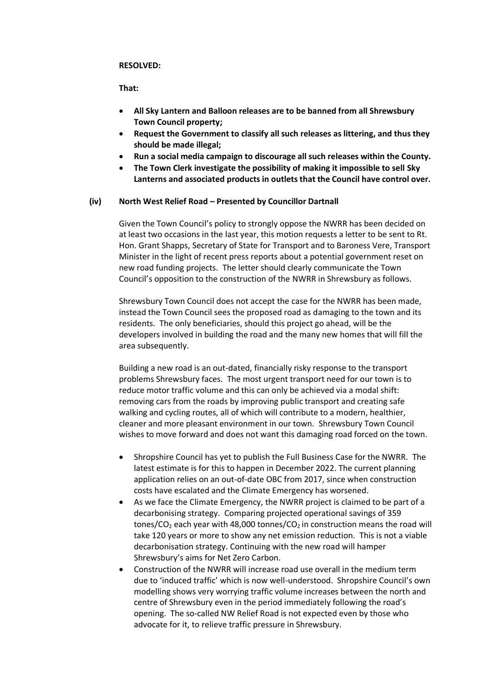#### **RESOLVED:**

### **That:**

- **All Sky Lantern and Balloon releases are to be banned from all Shrewsbury Town Council property;**
- **Request the Government to classify all such releases as littering, and thus they should be made illegal;**
- **Run a social media campaign to discourage all such releases within the County.**
- **The Town Clerk investigate the possibility of making it impossible to sell Sky Lanterns and associated products in outlets that the Council have control over.**

## **(iv) North West Relief Road – Presented by Councillor Dartnall**

Given the Town Council's policy to strongly oppose the NWRR has been decided on at least two occasions in the last year, this motion requests a letter to be sent to Rt. Hon. Grant Shapps, Secretary of State for Transport and to Baroness Vere, Transport Minister in the light of recent press reports about a potential government reset on new road funding projects. The letter should clearly communicate the Town Council's opposition to the construction of the NWRR in Shrewsbury as follows.

Shrewsbury Town Council does not accept the case for the NWRR has been made, instead the Town Council sees the proposed road as damaging to the town and its residents. The only beneficiaries, should this project go ahead, will be the developers involved in building the road and the many new homes that will fill the area subsequently.

Building a new road is an out-dated, financially risky response to the transport problems Shrewsbury faces. The most urgent transport need for our town is to reduce motor traffic volume and this can only be achieved via a modal shift: removing cars from the roads by improving public transport and creating safe walking and cycling routes, all of which will contribute to a modern, healthier, cleaner and more pleasant environment in our town. Shrewsbury Town Council wishes to move forward and does not want this damaging road forced on the town.

- Shropshire Council has yet to publish the Full Business Case for the NWRR. The latest estimate is for this to happen in December 2022. The current planning application relies on an out-of-date OBC from 2017, since when construction costs have escalated and the Climate Emergency has worsened.
- As we face the Climate Emergency, the NWRR project is claimed to be part of a decarbonising strategy. Comparing projected operational savings of 359 tones/CO<sub>2</sub> each year with 48,000 tonnes/CO<sub>2</sub> in construction means the road will take 120 years or more to show any net emission reduction. This is not a viable decarbonisation strategy. Continuing with the new road will hamper Shrewsbury's aims for Net Zero Carbon.
- Construction of the NWRR will increase road use overall in the medium term due to 'induced traffic' which is now well-understood. Shropshire Council's own modelling shows very worrying traffic volume increases between the north and centre of Shrewsbury even in the period immediately following the road's opening. The so-called NW Relief Road is not expected even by those who advocate for it, to relieve traffic pressure in Shrewsbury.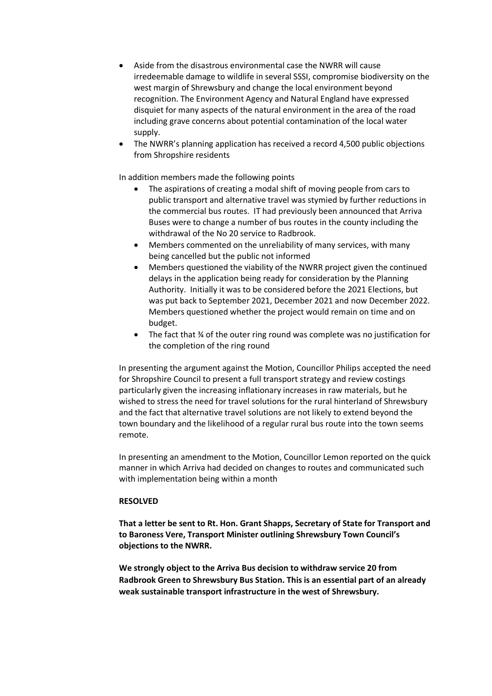- Aside from the disastrous environmental case the NWRR will cause irredeemable damage to wildlife in several SSSI, compromise biodiversity on the west margin of Shrewsbury and change the local environment beyond recognition. The Environment Agency and Natural England have expressed disquiet for many aspects of the natural environment in the area of the road including grave concerns about potential contamination of the local water supply.
- The NWRR's planning application has received a record 4,500 public objections from Shropshire residents

In addition members made the following points

- The aspirations of creating a modal shift of moving people from cars to public transport and alternative travel was stymied by further reductions in the commercial bus routes. IT had previously been announced that Arriva Buses were to change a number of bus routes in the county including the withdrawal of the No 20 service to Radbrook.
- Members commented on the unreliability of many services, with many being cancelled but the public not informed
- Members questioned the viability of the NWRR project given the continued delays in the application being ready for consideration by the Planning Authority. Initially it was to be considered before the 2021 Elections, but was put back to September 2021, December 2021 and now December 2022. Members questioned whether the project would remain on time and on budget.
- The fact that ¾ of the outer ring round was complete was no justification for the completion of the ring round

In presenting the argument against the Motion, Councillor Philips accepted the need for Shropshire Council to present a full transport strategy and review costings particularly given the increasing inflationary increases in raw materials, but he wished to stress the need for travel solutions for the rural hinterland of Shrewsbury and the fact that alternative travel solutions are not likely to extend beyond the town boundary and the likelihood of a regular rural bus route into the town seems remote.

In presenting an amendment to the Motion, Councillor Lemon reported on the quick manner in which Arriva had decided on changes to routes and communicated such with implementation being within a month

## **RESOLVED**

**That a letter be sent to Rt. Hon. Grant Shapps, Secretary of State for Transport and to Baroness Vere, Transport Minister outlining Shrewsbury Town Council's objections to the NWRR.**

**We strongly object to the Arriva Bus decision to withdraw service 20 from Radbrook Green to Shrewsbury Bus Station. This is an essential part of an already weak sustainable transport infrastructure in the west of Shrewsbury.**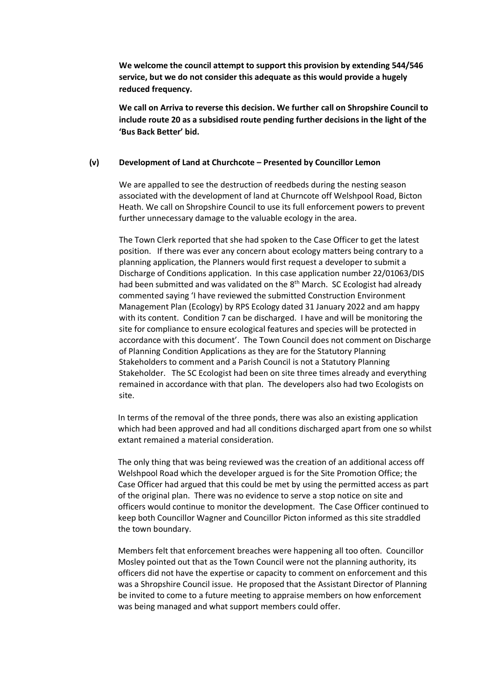**We welcome the council attempt to support this provision by extending 544/546 service, but we do not consider this adequate as this would provide a hugely reduced frequency.** 

**We call on Arriva to reverse this decision. We further call on Shropshire Council to include route 20 as a subsidised route pending further decisions in the light of the 'Bus Back Better' bid.** 

## **(v) Development of Land at Churchcote – Presented by Councillor Lemon**

We are appalled to see the destruction of reedbeds during the nesting season associated with the development of land at Churncote off Welshpool Road, Bicton Heath. We call on Shropshire Council to use its full enforcement powers to prevent further unnecessary damage to the valuable ecology in the area.

The Town Clerk reported that she had spoken to the Case Officer to get the latest position. If there was ever any concern about ecology matters being contrary to a planning application, the Planners would first request a developer to submit a Discharge of Conditions application. In this case application number 22/01063/DIS had been submitted and was validated on the 8<sup>th</sup> March. SC Ecologist had already commented saying 'I have reviewed the submitted Construction Environment Management Plan (Ecology) by RPS Ecology dated 31 January 2022 and am happy with its content. Condition 7 can be discharged. I have and will be monitoring the site for compliance to ensure ecological features and species will be protected in accordance with this document'. The Town Council does not comment on Discharge of Planning Condition Applications as they are for the Statutory Planning Stakeholders to comment and a Parish Council is not a Statutory Planning Stakeholder. The SC Ecologist had been on site three times already and everything remained in accordance with that plan. The developers also had two Ecologists on site.

In terms of the removal of the three ponds, there was also an existing application which had been approved and had all conditions discharged apart from one so whilst extant remained a material consideration.

The only thing that was being reviewed was the creation of an additional access off Welshpool Road which the developer argued is for the Site Promotion Office; the Case Officer had argued that this could be met by using the permitted access as part of the original plan. There was no evidence to serve a stop notice on site and officers would continue to monitor the development. The Case Officer continued to keep both Councillor Wagner and Councillor Picton informed as this site straddled the town boundary.

Members felt that enforcement breaches were happening all too often. Councillor Mosley pointed out that as the Town Council were not the planning authority, its officers did not have the expertise or capacity to comment on enforcement and this was a Shropshire Council issue. He proposed that the Assistant Director of Planning be invited to come to a future meeting to appraise members on how enforcement was being managed and what support members could offer.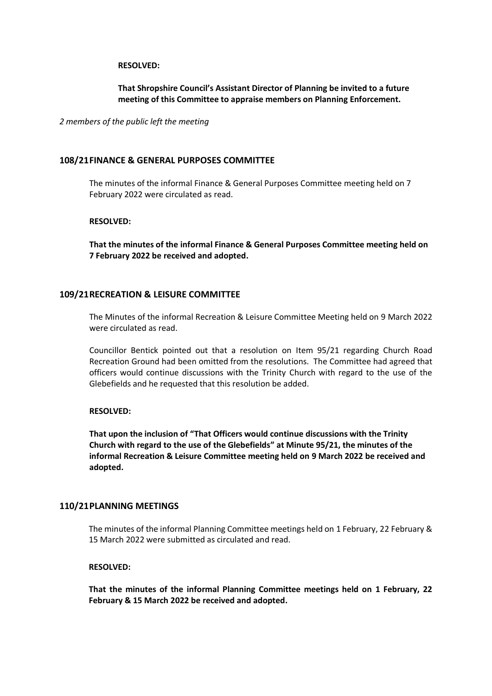#### **RESOLVED:**

## **That Shropshire Council's Assistant Director of Planning be invited to a future meeting of this Committee to appraise members on Planning Enforcement.**

*2 members of the public left the meeting*

## **108/21FINANCE & GENERAL PURPOSES COMMITTEE**

The minutes of the informal Finance & General Purposes Committee meeting held on 7 February 2022 were circulated as read.

### **RESOLVED:**

**That the minutes of the informal Finance & General Purposes Committee meeting held on 7 February 2022 be received and adopted.**

### **109/21RECREATION & LEISURE COMMITTEE**

The Minutes of the informal Recreation & Leisure Committee Meeting held on 9 March 2022 were circulated as read.

Councillor Bentick pointed out that a resolution on Item 95/21 regarding Church Road Recreation Ground had been omitted from the resolutions. The Committee had agreed that officers would continue discussions with the Trinity Church with regard to the use of the Glebefields and he requested that this resolution be added.

### **RESOLVED:**

**That upon the inclusion of "That Officers would continue discussions with the Trinity Church with regard to the use of the Glebefields" at Minute 95/21, the minutes of the informal Recreation & Leisure Committee meeting held on 9 March 2022 be received and adopted.**

## **110/21PLANNING MEETINGS**

The minutes of the informal Planning Committee meetings held on 1 February, 22 February & 15 March 2022 were submitted as circulated and read.

## **RESOLVED:**

**That the minutes of the informal Planning Committee meetings held on 1 February, 22 February & 15 March 2022 be received and adopted.**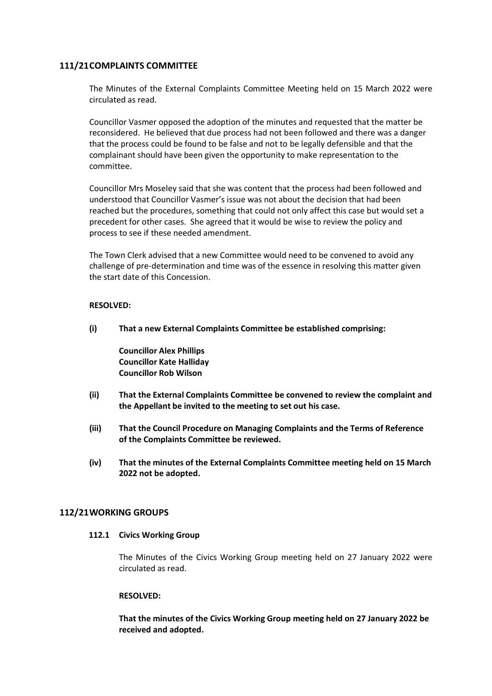## **111/21COMPLAINTS COMMITTEE**

The Minutes of the External Complaints Committee Meeting held on 15 March 2022 were circulated as read.

Councillor Vasmer opposed the adoption of the minutes and requested that the matter be reconsidered. He believed that due process had not been followed and there was a danger that the process could be found to be false and not to be legally defensible and that the complainant should have been given the opportunity to make representation to the committee.

Councillor Mrs Moseley said that she was content that the process had been followed and understood that Councillor Vasmer's issue was not about the decision that had been reached but the procedures, something that could not only affect this case but would set a precedent for other cases. She agreed that it would be wise to review the policy and process to see if these needed amendment.

The Town Clerk advised that a new Committee would need to be convened to avoid any challenge of pre-determination and time was of the essence in resolving this matter given the start date of this Concession.

## **RESOLVED:**

**(i) That a new External Complaints Committee be established comprising:**

**Councillor Alex Phillips Councillor Kate Halliday Councillor Rob Wilson**

- **(ii) That the External Complaints Committee be convened to review the complaint and the Appellant be invited to the meeting to set out his case.**
- **(iii) That the Council Procedure on Managing Complaints and the Terms of Reference of the Complaints Committee be reviewed.**
- **(iv) That the minutes of the External Complaints Committee meeting held on 15 March 2022 not be adopted.**

## **112/21WORKING GROUPS**

#### **112.1 Civics Working Group**

The Minutes of the Civics Working Group meeting held on 27 January 2022 were circulated as read.

#### **RESOLVED:**

**That the minutes of the Civics Working Group meeting held on 27 January 2022 be received and adopted.**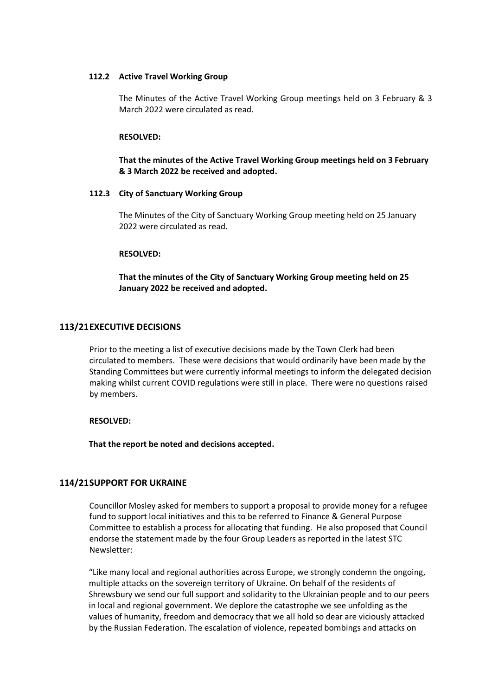### **112.2 Active Travel Working Group**

The Minutes of the Active Travel Working Group meetings held on 3 February & 3 March 2022 were circulated as read.

#### **RESOLVED:**

**That the minutes of the Active Travel Working Group meetings held on 3 February & 3 March 2022 be received and adopted.**

#### **112.3 City of Sanctuary Working Group**

The Minutes of the City of Sanctuary Working Group meeting held on 25 January 2022 were circulated as read.

#### **RESOLVED:**

**That the minutes of the City of Sanctuary Working Group meeting held on 25 January 2022 be received and adopted.**

#### **113/21EXECUTIVE DECISIONS**

Prior to the meeting a list of executive decisions made by the Town Clerk had been circulated to members. These were decisions that would ordinarily have been made by the Standing Committees but were currently informal meetings to inform the delegated decision making whilst current COVID regulations were still in place. There were no questions raised by members.

#### **RESOLVED:**

**That the report be noted and decisions accepted.**

### **114/21SUPPORT FOR UKRAINE**

Councillor Mosley asked for members to support a proposal to provide money for a refugee fund to support local initiatives and this to be referred to Finance & General Purpose Committee to establish a process for allocating that funding. He also proposed that Council endorse the statement made by the four Group Leaders as reported in the latest STC Newsletter:

"Like many local and regional authorities across Europe, we strongly condemn the ongoing, multiple attacks on the sovereign territory of Ukraine. On behalf of the residents of Shrewsbury we send our full support and solidarity to the Ukrainian people and to our peers in local and regional government. We deplore the catastrophe we see unfolding as the values of humanity, freedom and democracy that we all hold so dear are viciously attacked by the Russian Federation. The escalation of violence, repeated bombings and attacks on